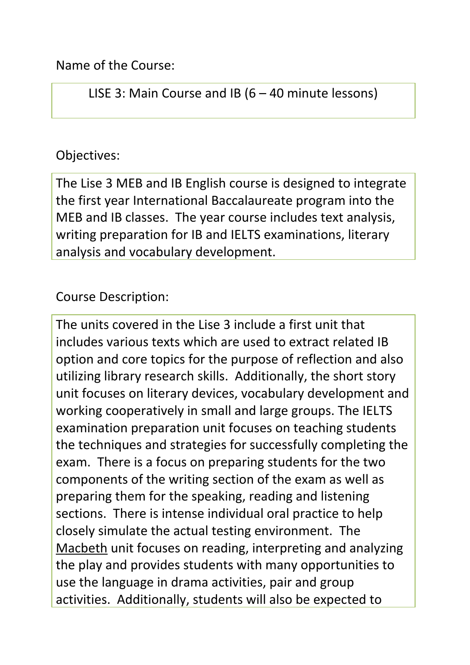Name of the Course:

LISE 3: Main Course and IB (6 – 40 minute lessons)

## Objectives:

The Lise 3 MEB and IB English course is designed to integrate the first year International Baccalaureate program into the MEB and IB classes. The year course includes text analysis, writing preparation for IB and IELTS examinations, literary analysis and vocabulary development.

Course Description:

The units covered in the Lise 3 include a first unit that includes various texts which are used to extract related IB option and core topics for the purpose of reflection and also utilizing library research skills. Additionally, the short story unit focuses on literary devices, vocabulary development and working cooperatively in small and large groups. The IELTS examination preparation unit focuses on teaching students the techniques and strategies for successfully completing the exam. There is a focus on preparing students for the two components of the writing section of the exam as well as preparing them for the speaking, reading and listening sections. There is intense individual oral practice to help closely simulate the actual testing environment. The Macbeth unit focuses on reading, interpreting and analyzing the play and provides students with many opportunities to use the language in drama activities, pair and group activities. Additionally, students will also be expected to